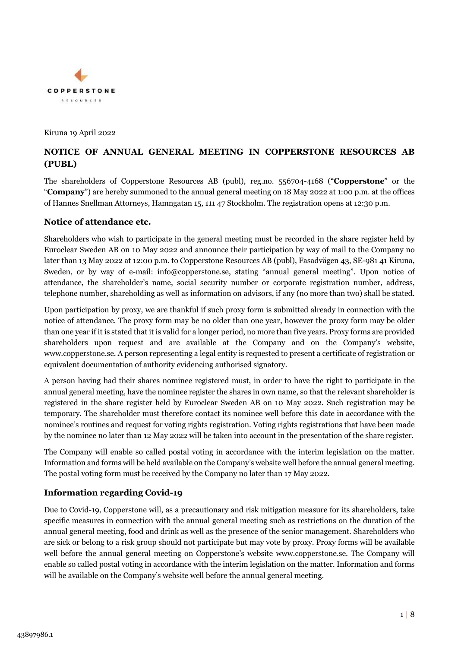

Kiruna 19 April 2022

# **NOTICE OF ANNUAL GENERAL MEETING IN COPPERSTONE RESOURCES AB (PUBL)**

The shareholders of Copperstone Resources AB (publ), reg.no. 556704-4168 ("**Copperstone**" or the "**Company**") are hereby summoned to the annual general meeting on 18 May 2022 at 1:00 p.m. at the offices of Hannes Snellman Attorneys, Hamngatan 15, 111 47 Stockholm. The registration opens at 12:30 p.m.

## **Notice of attendance etc.**

Shareholders who wish to participate in the general meeting must be recorded in the share register held by Euroclear Sweden AB on 10 May 2022 and announce their participation by way of mail to the Company no later than 13 May 2022 at 12:00 p.m. to Copperstone Resources AB (publ), Fasadvägen 43, SE-981 41 Kiruna, Sweden, or by way of e-mail: info@copperstone.se, stating "annual general meeting". Upon notice of attendance, the shareholder's name, social security number or corporate registration number, address, telephone number, shareholding as well as information on advisors, if any (no more than two) shall be stated.

Upon participation by proxy, we are thankful if such proxy form is submitted already in connection with the notice of attendance. The proxy form may be no older than one year, however the proxy form may be older than one year if it is stated that it is valid for a longer period, no more than five years. Proxy forms are provided shareholders upon request and are available at the Company and on the Company's website, www.copperstone.se. A person representing a legal entity is requested to present a certificate of registration or equivalent documentation of authority evidencing authorised signatory.

A person having had their shares nominee registered must, in order to have the right to participate in the annual general meeting, have the nominee register the shares in own name, so that the relevant shareholder is registered in the share register held by Euroclear Sweden AB on 10 May 2022. Such registration may be temporary. The shareholder must therefore contact its nominee well before this date in accordance with the nominee's routines and request for voting rights registration. Voting rights registrations that have been made by the nominee no later than 12 May 2022 will be taken into account in the presentation of the share register.

The Company will enable so called postal voting in accordance with the interim legislation on the matter. Information and forms will be held available on the Company's website well before the annual general meeting. The postal voting form must be received by the Company no later than 17 May 2022.

## **Information regarding Covid-19**

Due to Covid-19, Copperstone will, as a precautionary and risk mitigation measure for its shareholders, take specific measures in connection with the annual general meeting such as restrictions on the duration of the annual general meeting, food and drink as well as the presence of the senior management. Shareholders who are sick or belong to a risk group should not participate but may vote by proxy. Proxy forms will be available well before the annual general meeting on Copperstone's website www.copperstone.se. The Company will enable so called postal voting in accordance with the interim legislation on the matter. Information and forms will be available on the Company's website well before the annual general meeting.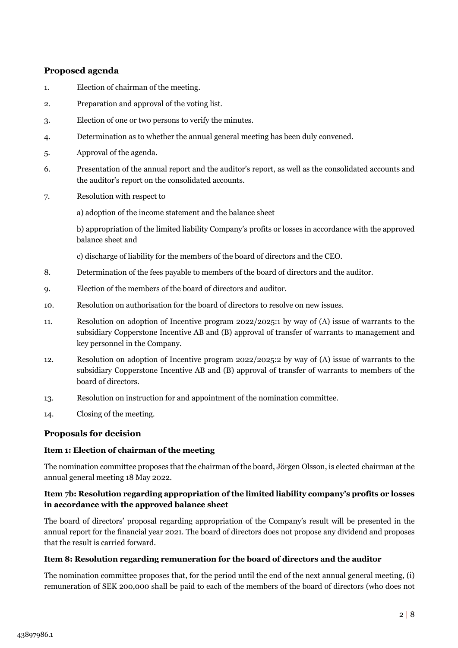## **Proposed agenda**

- 1. Election of chairman of the meeting.
- 2. Preparation and approval of the voting list.
- 3. Election of one or two persons to verify the minutes.
- 4. Determination as to whether the annual general meeting has been duly convened.
- 5. Approval of the agenda.
- 6. Presentation of the annual report and the auditor's report, as well as the consolidated accounts and the auditor's report on the consolidated accounts.
- 7. Resolution with respect to

a) adoption of the income statement and the balance sheet

b) appropriation of the limited liability Company's profits or losses in accordance with the approved balance sheet and

c) discharge of liability for the members of the board of directors and the CEO.

- 8. Determination of the fees payable to members of the board of directors and the auditor.
- 9. Election of the members of the board of directors and auditor.
- 10. Resolution on authorisation for the board of directors to resolve on new issues.
- 11. Resolution on adoption of Incentive program 2022/2025:1 by way of (A) issue of warrants to the subsidiary Copperstone Incentive AB and (B) approval of transfer of warrants to management and key personnel in the Company.
- 12. Resolution on adoption of Incentive program 2022/2025:2 by way of (A) issue of warrants to the subsidiary Copperstone Incentive AB and (B) approval of transfer of warrants to members of the board of directors.
- 13. Resolution on instruction for and appointment of the nomination committee.
- 14. Closing of the meeting.

## **Proposals for decision**

## **Item 1: Election of chairman of the meeting**

The nomination committee proposes that the chairman of the board, Jörgen Olsson, is elected chairman at the annual general meeting 18 May 2022.

## **Item 7b: Resolution regarding appropriation of the limited liability company's profits or losses in accordance with the approved balance sheet**

The board of directors' proposal regarding appropriation of the Company's result will be presented in the annual report for the financial year 2021. The board of directors does not propose any dividend and proposes that the result is carried forward.

## **Item 8: Resolution regarding remuneration for the board of directors and the auditor**

The nomination committee proposes that, for the period until the end of the next annual general meeting, (i) remuneration of SEK 200,000 shall be paid to each of the members of the board of directors (who does not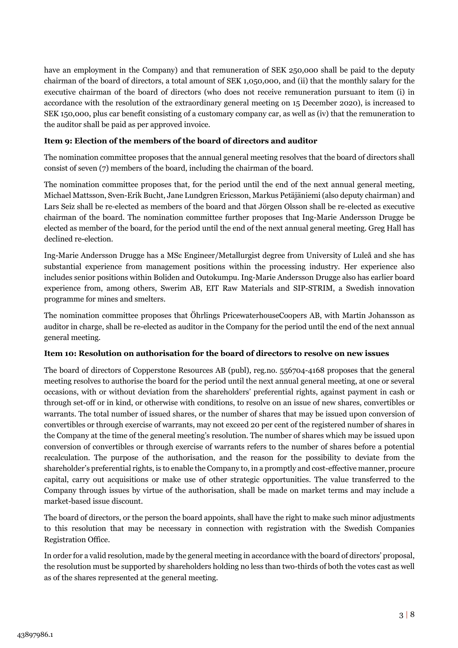have an employment in the Company) and that remuneration of SEK 250,000 shall be paid to the deputy chairman of the board of directors, a total amount of SEK 1,050,000, and (ii) that the monthly salary for the executive chairman of the board of directors (who does not receive remuneration pursuant to item (i) in accordance with the resolution of the extraordinary general meeting on 15 December 2020), is increased to SEK 150,000, plus car benefit consisting of a customary company car, as well as (iv) that the remuneration to the auditor shall be paid as per approved invoice.

## **Item 9: Election of the members of the board of directors and auditor**

The nomination committee proposes that the annual general meeting resolves that the board of directors shall consist of seven (7) members of the board, including the chairman of the board.

The nomination committee proposes that, for the period until the end of the next annual general meeting, Michael Mattsson, Sven-Erik Bucht, Jane Lundgren Ericsson, Markus Petäjäniemi (also deputy chairman) and Lars Seiz shall be re-elected as members of the board and that Jörgen Olsson shall be re-elected as executive chairman of the board. The nomination committee further proposes that Ing-Marie Andersson Drugge be elected as member of the board, for the period until the end of the next annual general meeting. Greg Hall has declined re-election.

Ing-Marie Andersson Drugge has a MSc Engineer/Metallurgist degree from University of Luleå and she has substantial experience from management positions within the processing industry. Her experience also includes senior positions within Boliden and Outokumpu. Ing-Marie Andersson Drugge also has earlier board experience from, among others, Swerim AB, EIT Raw Materials and SIP-STRIM, a Swedish innovation programme for mines and smelters.

The nomination committee proposes that Öhrlings PricewaterhouseCoopers AB, with Martin Johansson as auditor in charge, shall be re-elected as auditor in the Company for the period until the end of the next annual general meeting.

## **Item 10: Resolution on authorisation for the board of directors to resolve on new issues**

The board of directors of Copperstone Resources AB (publ), reg.no. 556704-4168 proposes that the general meeting resolves to authorise the board for the period until the next annual general meeting, at one or several occasions, with or without deviation from the shareholders' preferential rights, against payment in cash or through set-off or in kind, or otherwise with conditions, to resolve on an issue of new shares, convertibles or warrants. The total number of issued shares, or the number of shares that may be issued upon conversion of convertibles or through exercise of warrants, may not exceed 20 per cent of the registered number of shares in the Company at the time of the general meeting's resolution. The number of shares which may be issued upon conversion of convertibles or through exercise of warrants refers to the number of shares before a potential recalculation. The purpose of the authorisation, and the reason for the possibility to deviate from the shareholder's preferential rights, is to enable the Company to, in a promptly and cost-effective manner, procure capital, carry out acquisitions or make use of other strategic opportunities. The value transferred to the Company through issues by virtue of the authorisation, shall be made on market terms and may include a market-based issue discount.

The board of directors, or the person the board appoints, shall have the right to make such minor adjustments to this resolution that may be necessary in connection with registration with the Swedish Companies Registration Office.

In order for a valid resolution, made by the general meeting in accordance with the board of directors' proposal, the resolution must be supported by shareholders holding no less than two-thirds of both the votes cast as well as of the shares represented at the general meeting.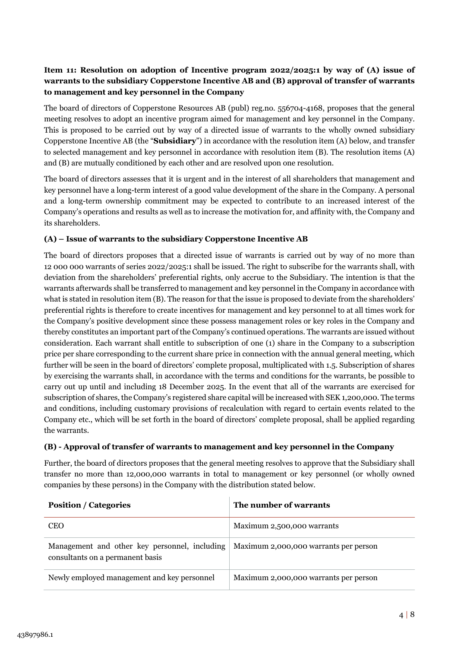## **Item 11: Resolution on adoption of Incentive program 2022/2025:1 by way of (A) issue of warrants to the subsidiary Copperstone Incentive AB and (B) approval of transfer of warrants to management and key personnel in the Company**

The board of directors of Copperstone Resources AB (publ) reg.no. 556704-4168, proposes that the general meeting resolves to adopt an incentive program aimed for management and key personnel in the Company. This is proposed to be carried out by way of a directed issue of warrants to the wholly owned subsidiary Copperstone Incentive AB (the "**Subsidiary**") in accordance with the resolution item (A) below, and transfer to selected management and key personnel in accordance with resolution item (B). The resolution items (A) and (B) are mutually conditioned by each other and are resolved upon one resolution.

The board of directors assesses that it is urgent and in the interest of all shareholders that management and key personnel have a long-term interest of a good value development of the share in the Company. A personal and a long-term ownership commitment may be expected to contribute to an increased interest of the Company's operations and results as well as to increase the motivation for, and affinity with, the Company and its shareholders.

## **(A) – Issue of warrants to the subsidiary Copperstone Incentive AB**

The board of directors proposes that a directed issue of warrants is carried out by way of no more than 12 000 000 warrants of series 2022/2025:1 shall be issued. The right to subscribe for the warrants shall, with deviation from the shareholders' preferential rights, only accrue to the Subsidiary. The intention is that the warrants afterwards shall be transferred to management and key personnel in the Company in accordance with what is stated in resolution item (B). The reason for that the issue is proposed to deviate from the shareholders' preferential rights is therefore to create incentives for management and key personnel to at all times work for the Company's positive development since these possess management roles or key roles in the Company and thereby constitutes an important part of the Company's continued operations. The warrants are issued without consideration. Each warrant shall entitle to subscription of one (1) share in the Company to a subscription price per share corresponding to the current share price in connection with the annual general meeting, which further will be seen in the board of directors' complete proposal, multiplicated with 1.5. Subscription of shares by exercising the warrants shall, in accordance with the terms and conditions for the warrants, be possible to carry out up until and including 18 December 2025. In the event that all of the warrants are exercised for subscription of shares, the Company's registered share capital will be increased with SEK 1,200,000. The terms and conditions, including customary provisions of recalculation with regard to certain events related to the Company etc., which will be set forth in the board of directors' complete proposal, shall be applied regarding the warrants.

## **(B) - Approval of transfer of warrants to management and key personnel in the Company**

Further, the board of directors proposes that the general meeting resolves to approve that the Subsidiary shall transfer no more than 12,000,000 warrants in total to management or key personnel (or wholly owned companies by these persons) in the Company with the distribution stated below.

| <b>Position / Categories</b>                                                      | The number of warrants                |
|-----------------------------------------------------------------------------------|---------------------------------------|
| <b>CEO</b>                                                                        | Maximum 2,500,000 warrants            |
| Management and other key personnel, including<br>consultants on a permanent basis | Maximum 2,000,000 warrants per person |
| Newly employed management and key personnel                                       | Maximum 2,000,000 warrants per person |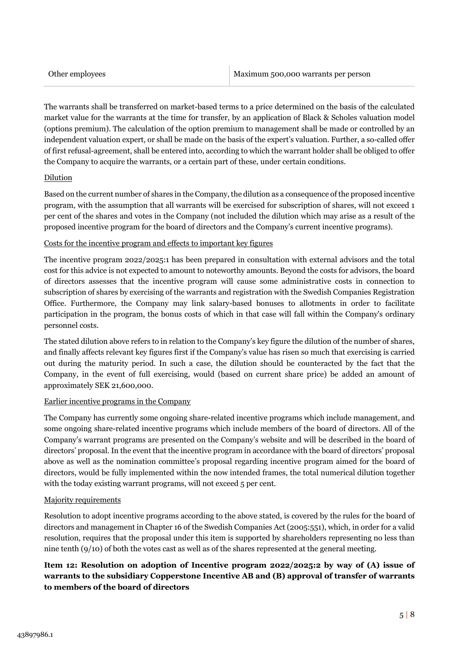The warrants shall be transferred on market-based terms to a price determined on the basis of the calculated market value for the warrants at the time for transfer, by an application of Black & Scholes valuation model (options premium). The calculation of the option premium to management shall be made or controlled by an independent valuation expert, or shall be made on the basis of the expert's valuation. Further, a so-called offer of first refusal-agreement, shall be entered into, according to which the warrant holder shall be obliged to offer the Company to acquire the warrants, or a certain part of these, under certain conditions.

#### **Dilution**

Based on the current number of shares in the Company, the dilution as a consequence of the proposed incentive program, with the assumption that all warrants will be exercised for subscription of shares, will not exceed 1 per cent of the shares and votes in the Company (not included the dilution which may arise as a result of the proposed incentive program for the board of directors and the Company's current incentive programs).

#### Costs for the incentive program and effects to important key figures

The incentive program 2022/2025:1 has been prepared in consultation with external advisors and the total cost for this advice is not expected to amount to noteworthy amounts. Beyond the costs for advisors, the board of directors assesses that the incentive program will cause some administrative costs in connection to subscription of shares by exercising of the warrants and registration with the Swedish Companies Registration Office. Furthermore, the Company may link salary-based bonuses to allotments in order to facilitate participation in the program, the bonus costs of which in that case will fall within the Company's ordinary personnel costs.

The stated dilution above refers to in relation to the Company's key figure the dilution of the number of shares, and finally affects relevant key figures first if the Company's value has risen so much that exercising is carried out during the maturity period. In such a case, the dilution should be counteracted by the fact that the Company, in the event of full exercising, would (based on current share price) be added an amount of approximately SEK 21,600,000.

#### Earlier incentive programs in the Company

The Company has currently some ongoing share-related incentive programs which include management, and some ongoing share-related incentive programs which include members of the board of directors. All of the Company's warrant programs are presented on the Company's website and will be described in the board of directors' proposal. In the event that the incentive program in accordance with the board of directors' proposal above as well as the nomination committee's proposal regarding incentive program aimed for the board of directors, would be fully implemented within the now intended frames, the total numerical dilution together with the today existing warrant programs, will not exceed 5 per cent.

#### Majority requirements

Resolution to adopt incentive programs according to the above stated, is covered by the rules for the board of directors and management in Chapter 16 of the Swedish Companies Act (2005:551), which, in order for a valid resolution, requires that the proposal under this item is supported by shareholders representing no less than nine tenth (9/10) of both the votes cast as well as of the shares represented at the general meeting.

## **Item 12: Resolution on adoption of Incentive program 2022/2025:2 by way of (A) issue of warrants to the subsidiary Copperstone Incentive AB and (B) approval of transfer of warrants to members of the board of directors**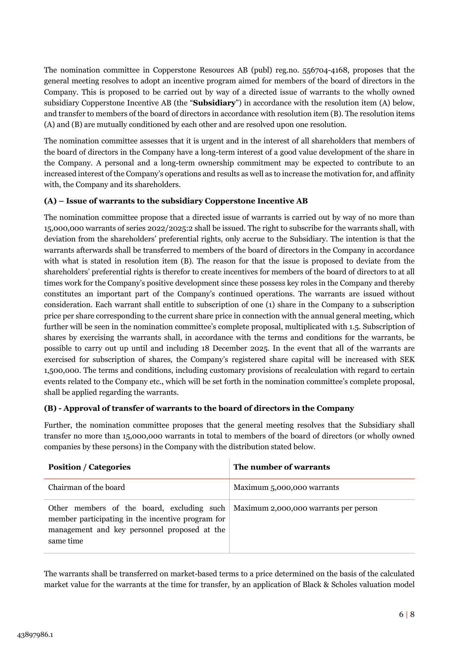The nomination committee in Copperstone Resources AB (publ) reg.no. 556704-4168, proposes that the general meeting resolves to adopt an incentive program aimed for members of the board of directors in the Company. This is proposed to be carried out by way of a directed issue of warrants to the wholly owned subsidiary Copperstone Incentive AB (the "**Subsidiary**") in accordance with the resolution item (A) below, and transfer to members of the board of directors in accordance with resolution item (B). The resolution items (A) and (B) are mutually conditioned by each other and are resolved upon one resolution.

The nomination committee assesses that it is urgent and in the interest of all shareholders that members of the board of directors in the Company have a long-term interest of a good value development of the share in the Company. A personal and a long-term ownership commitment may be expected to contribute to an increased interest of the Company's operations and results as well as to increase the motivation for, and affinity with, the Company and its shareholders.

## **(A) – Issue of warrants to the subsidiary Copperstone Incentive AB**

The nomination committee propose that a directed issue of warrants is carried out by way of no more than 15,000,000 warrants of series 2022/2025:2 shall be issued. The right to subscribe for the warrants shall, with deviation from the shareholders' preferential rights, only accrue to the Subsidiary. The intention is that the warrants afterwards shall be transferred to members of the board of directors in the Company in accordance with what is stated in resolution item (B). The reason for that the issue is proposed to deviate from the shareholders' preferential rights is therefor to create incentives for members of the board of directors to at all times work for the Company's positive development since these possess key roles in the Company and thereby constitutes an important part of the Company's continued operations. The warrants are issued without consideration. Each warrant shall entitle to subscription of one (1) share in the Company to a subscription price per share corresponding to the current share price in connection with the annual general meeting, which further will be seen in the nomination committee's complete proposal, multiplicated with 1.5. Subscription of shares by exercising the warrants shall, in accordance with the terms and conditions for the warrants, be possible to carry out up until and including 18 December 2025. In the event that all of the warrants are exercised for subscription of shares, the Company's registered share capital will be increased with SEK 1,500,000. The terms and conditions, including customary provisions of recalculation with regard to certain events related to the Company etc., which will be set forth in the nomination committee's complete proposal, shall be applied regarding the warrants.

## **(B) - Approval of transfer of warrants to the board of directors in the Company**

Further, the nomination committee proposes that the general meeting resolves that the Subsidiary shall transfer no more than 15,000,000 warrants in total to members of the board of directors (or wholly owned companies by these persons) in the Company with the distribution stated below.

| <b>Position / Categories</b>                                                                                                                                                                               | The number of warrants     |
|------------------------------------------------------------------------------------------------------------------------------------------------------------------------------------------------------------|----------------------------|
| Chairman of the board                                                                                                                                                                                      | Maximum 5,000,000 warrants |
| Other members of the board, excluding such $\vert$ Maximum 2,000,000 warrants per person<br>member participating in the incentive program for<br>management and key personnel proposed at the<br>same time |                            |

The warrants shall be transferred on market-based terms to a price determined on the basis of the calculated market value for the warrants at the time for transfer, by an application of Black & Scholes valuation model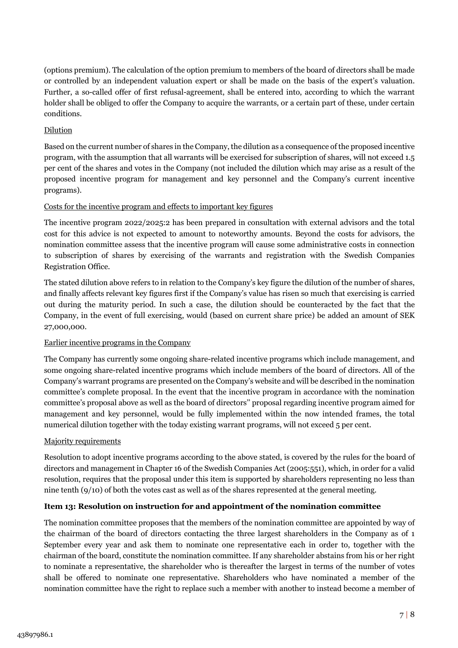(options premium). The calculation of the option premium to members of the board of directors shall be made or controlled by an independent valuation expert or shall be made on the basis of the expert's valuation. Further, a so-called offer of first refusal-agreement, shall be entered into, according to which the warrant holder shall be obliged to offer the Company to acquire the warrants, or a certain part of these, under certain conditions.

## Dilution

Based on the current number of shares in the Company, the dilution as a consequence of the proposed incentive program, with the assumption that all warrants will be exercised for subscription of shares, will not exceed 1.5 per cent of the shares and votes in the Company (not included the dilution which may arise as a result of the proposed incentive program for management and key personnel and the Company's current incentive programs).

## Costs for the incentive program and effects to important key figures

The incentive program 2022/2025:2 has been prepared in consultation with external advisors and the total cost for this advice is not expected to amount to noteworthy amounts. Beyond the costs for advisors, the nomination committee assess that the incentive program will cause some administrative costs in connection to subscription of shares by exercising of the warrants and registration with the Swedish Companies Registration Office.

The stated dilution above refers to in relation to the Company's key figure the dilution of the number of shares, and finally affects relevant key figures first if the Company's value has risen so much that exercising is carried out during the maturity period. In such a case, the dilution should be counteracted by the fact that the Company, in the event of full exercising, would (based on current share price) be added an amount of SEK 27,000,000.

## Earlier incentive programs in the Company

The Company has currently some ongoing share-related incentive programs which include management, and some ongoing share-related incentive programs which include members of the board of directors. All of the Company's warrant programs are presented on the Company's website and will be described in the nomination committee's complete proposal. In the event that the incentive program in accordance with the nomination committee's proposal above as well as the board of directors'' proposal regarding incentive program aimed for management and key personnel, would be fully implemented within the now intended frames, the total numerical dilution together with the today existing warrant programs, will not exceed 5 per cent.

## Majority requirements

Resolution to adopt incentive programs according to the above stated, is covered by the rules for the board of directors and management in Chapter 16 of the Swedish Companies Act (2005:551), which, in order for a valid resolution, requires that the proposal under this item is supported by shareholders representing no less than nine tenth (9/10) of both the votes cast as well as of the shares represented at the general meeting.

## **Item 13: Resolution on instruction for and appointment of the nomination committee**

The nomination committee proposes that the members of the nomination committee are appointed by way of the chairman of the board of directors contacting the three largest shareholders in the Company as of 1 September every year and ask them to nominate one representative each in order to, together with the chairman of the board, constitute the nomination committee. If any shareholder abstains from his or her right to nominate a representative, the shareholder who is thereafter the largest in terms of the number of votes shall be offered to nominate one representative. Shareholders who have nominated a member of the nomination committee have the right to replace such a member with another to instead become a member of